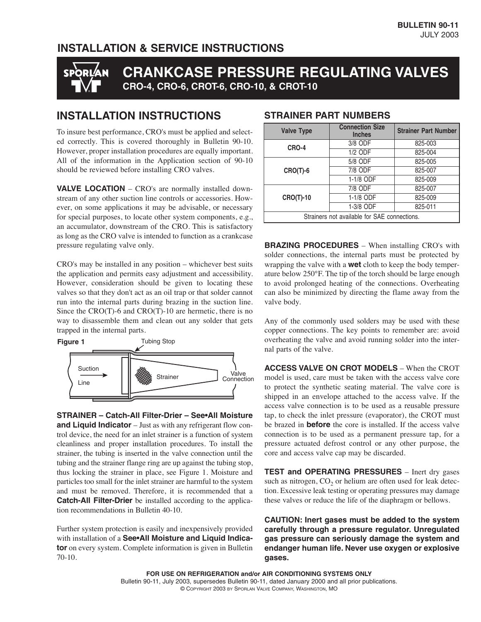#### **INSTALLATION & SERVICE INSTRUCTIONS**

# **CRANKCASE PRESSURE REGULATING VALVES** ® **CRO-4, CRO-6, CROT-6, CRO-10, & CROT-10**

### **INSTALLATION INSTRUCTIONS**

To insure best performance, CRO's must be applied and selected correctly. This is covered thoroughly in Bulletin 90-10. However, proper installation procedures are equally important. All of the information in the Application section of 90-10 should be reviewed before installing CRO valves.

**VALVE LOCATION** – CRO's are normally installed downstream of any other suction line controls or accessories. However, on some applications it may be advisable, or necessary for special purposes, to locate other system components, e.g., an accumulator, downstream of the CRO. This is satisfactory as long as the CRO valve is intended to function as a crankcase pressure regulating valve only.

CRO's may be installed in any position – whichever best suits the application and permits easy adjustment and accessibility. However, consideration should be given to locating these valves so that they don't act as an oil trap or that solder cannot run into the internal parts during brazing in the suction line. Since the CRO(T)-6 and CRO(T)-10 are hermetic, there is no way to disassemble them and clean out any solder that gets trapped in the internal parts.



**STRAINER – Catch-All Filter-Drier – See•All Moisture and Liquid Indicator** – Just as with any refrigerant flow control device, the need for an inlet strainer is a function of system cleanliness and proper installation procedures. To install the strainer, the tubing is inserted in the valve connection until the tubing and the strainer flange ring are up against the tubing stop, thus locking the strainer in place, see Figure 1. Moisture and particles too small for the inlet strainer are harmful to the system and must be removed. Therefore, it is recommended that a **Catch-All Filter-Drier** be installed according to the application recommendations in Bulletin 40-10.

Further system protection is easily and inexpensively provided with installation of a **See•All Moisture and Liquid Indicator** on every system. Complete information is given in Bulletin 70-10.

| <b>Valve Type</b>                            | <b>Connection Size</b><br><b>Inches</b> | <b>Strainer Part Number</b> |  |  |
|----------------------------------------------|-----------------------------------------|-----------------------------|--|--|
| <b>CRO-4</b>                                 | 3/8 ODF                                 | 825-003                     |  |  |
|                                              | $1/2$ ODF                               | 825-004                     |  |  |
| $CRO(T)-6$                                   | $5/8$ ODF                               | 825-005                     |  |  |
|                                              | 7/8 ODF                                 | 825-007                     |  |  |
|                                              | 1-1/8 ODF                               | 825-009                     |  |  |
| <b>CRO(T)-10</b>                             | 7/8 ODF                                 | 825-007                     |  |  |
|                                              | 1-1/8 ODF                               | 825-009                     |  |  |
|                                              | 1-3/8 ODF                               | 825-011                     |  |  |
| Strainers not available for SAE connections. |                                         |                             |  |  |

#### **STRAINER PART NUMBERS**

**BRAZING PROCEDURES** – When installing CRO's with solder connections, the internal parts must be protected by wrapping the valve with a **wet** cloth to keep the body temperature below 250°F. The tip of the torch should be large enough to avoid prolonged heating of the connections. Overheating can also be minimized by directing the flame away from the valve body.

Any of the commonly used solders may be used with these copper connections. The key points to remember are: avoid overheating the valve and avoid running solder into the internal parts of the valve.

**ACCESS VALVE ON CROT MODELS** – When the CROT model is used, care must be taken with the access valve core to protect the synthetic seating material. The valve core is shipped in an envelope attached to the access valve. If the access valve connection is to be used as a reusable pressure tap, to check the inlet pressure (evaporator), the CROT must be brazed in **before** the core is installed. If the access valve connection is to be used as a permanent pressure tap, for a pressure actuated defrost control or any other purpose, the core and access valve cap may be discarded.

**TEST and OPERATING PRESSURES** – Inert dry gases such as nitrogen,  $CO<sub>2</sub>$  or helium are often used for leak detection. Excessive leak testing or operating pressures may damage these valves or reduce the life of the diaphragm or bellows.

**CAUTION: Inert gases must be added to the system carefully through a pressure regulator. Unregulated gas pressure can seriously damage the system and endanger human life. Never use oxygen or explosive gases.**